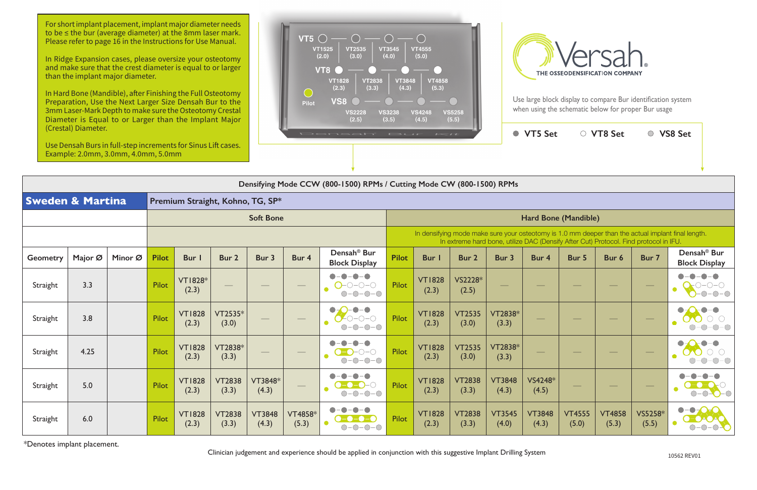|                             | Densifying Mode CCW (800-1500) RPMs / Cutting Mode CW (800-1500) RPMs |         |                                  |                         |                        |                        |                         |                                                                                                                                                                                             |              |                        |                        |                        |                          |                        |                        |                  |                                                             |  |  |
|-----------------------------|-----------------------------------------------------------------------|---------|----------------------------------|-------------------------|------------------------|------------------------|-------------------------|---------------------------------------------------------------------------------------------------------------------------------------------------------------------------------------------|--------------|------------------------|------------------------|------------------------|--------------------------|------------------------|------------------------|------------------|-------------------------------------------------------------|--|--|
| <b>Sweden &amp; Martina</b> |                                                                       |         | Premium Straight, Kohno, TG, SP* |                         |                        |                        |                         |                                                                                                                                                                                             |              |                        |                        |                        |                          |                        |                        |                  |                                                             |  |  |
|                             |                                                                       |         | <b>Soft Bone</b>                 |                         |                        |                        |                         |                                                                                                                                                                                             |              | Hard Bone (Mandible)   |                        |                        |                          |                        |                        |                  |                                                             |  |  |
|                             |                                                                       |         |                                  |                         |                        |                        |                         | In densifying mode make sure your osteotomy is 1.0 mm deeper than the actual implant final length.<br>In extreme hard bone, utilize DAC (Densify After Cut) Protocol. Find protocol in IFU. |              |                        |                        |                        |                          |                        |                        |                  |                                                             |  |  |
| Geometry                    | Major Ø                                                               | Minor Ø | <b>Pilot</b>                     | Bur I                   | Bur 2                  | Bur 3                  | Bur 4                   | Densah <sup>®</sup> Bur<br><b>Block Display</b>                                                                                                                                             | <b>Pilot</b> | <b>Bur</b>             | Bur 2                  | Bur 3                  | Bur 4                    | Bur 5                  | Bur 6                  | Bur 7            | Densah <sup>®</sup> Bur<br><b>Block Display</b>             |  |  |
| Straight                    | 3.3                                                                   |         | Pilot                            | <b>VT1828*</b><br>(2.3) |                        |                        | $\hspace{0.05cm}$       | $O$ -0-0-0<br>$O-O-O-O$                                                                                                                                                                     | Pilot        | <b>VT1828</b><br>(2.3) | VS2228*<br>(2.5)       | $\qquad \qquad -$      | $\overline{\phantom{a}}$ |                        |                        |                  |                                                             |  |  |
| Straight                    | 3.8                                                                   |         | <b>Pilot</b>                     | <b>VT1828</b><br>(2.3)  | VT2535*<br>(3.0)       |                        |                         | $\bullet$ – $\bullet$<br>$\bullet$<br>$-0-0-0$                                                                                                                                              | <b>Pilot</b> | <b>VT1828</b><br>(2.3) | <b>VT2535</b><br>(3.0) | VT2838*<br>(3.3)       |                          |                        |                        |                  |                                                             |  |  |
| Straight                    | 4.25                                                                  |         | Pilot                            | <b>VT1828</b><br>(2.3)  | VT2838*<br>(3.3)       |                        | $\qquad \qquad$         |                                                                                                                                                                                             | Pilot        | <b>VT1828</b><br>(2.3) | <b>VT2535</b><br>(3.0) | VT2838*<br>(3.3)       |                          |                        |                        |                  |                                                             |  |  |
| Straight                    | 5.0                                                                   |         | Pilot                            | <b>VT1828</b><br>(2.3)  | <b>VT2838</b><br>(3.3) | VT3848*<br>(4.3)       | $\hspace{0.05cm}$       | $-0-0-0$                                                                                                                                                                                    | Pilot        | <b>VT1828</b><br>(2.3) | <b>VT2838</b><br>(3.3) | <b>VT3848</b><br>(4.3) | VS4248*<br>(4.5)         |                        |                        | $\hspace{0.1cm}$ | $\overline{O}$ $\overline{O}$ $\overline{O}$ $\overline{O}$ |  |  |
| Straight                    | 6.0                                                                   |         | Pilot                            | <b>VT1828</b><br>(2.3)  | <b>VT2838</b><br>(3.3) | <b>VT3848</b><br>(4.3) | <b>VT4858*</b><br>(5.3) | $\bullet$<br><b>0-0-0-0</b><br>$-0-0-0$                                                                                                                                                     | Pilot        | <b>VT1828</b><br>(2.3) | <b>VT2838</b><br>(3.3) | <b>VT3545</b><br>(4.0) | <b>VT3848</b><br>(4.3)   | <b>VT4555</b><br>(5.0) | <b>VT4858</b><br>(5.3) | VS5258*<br>(5.5) | $\bullet$ - $\bullet$ -<br>$\bullet$ - 0.10                 |  |  |

\*Denotes implant placement.

Clinician judgement and experience should be applied in conjunction with this suggestive Implant Drilling System

| t | ○ VT8 Set | ○ VS8 Set |  |
|---|-----------|-----------|--|
|   |           |           |  |
|   |           |           |  |
|   |           |           |  |

For short implant placement, implant major diameter needs to be ≤ the bur (average diameter) at the 8mm laser mark. Please refer to page 16 in the Instructions for Use Manual.

In Ridge Expansion cases, please oversize your osteotomy and make sure that the crest diameter is equal to or larger than the implant major diameter.

In Hard Bone (Mandible), after Finishing the Full Osteotomy Preparation, Use the Next Larger Size Densah Bur to the 3mm Laser-Mark Depth to make sure the Osteotomy Crestal Diameter is Equal to or Larger than the Implant Major (Crestal) Diameter.

Use Densah Burs in full-step increments for Sinus Lift cases. Example: 2.0mm, 3.0mm, 4.0mm, 5.0mm





Use large block display to compare Bur identification system when using the schematic below for proper Bur usage

 $VTS Set$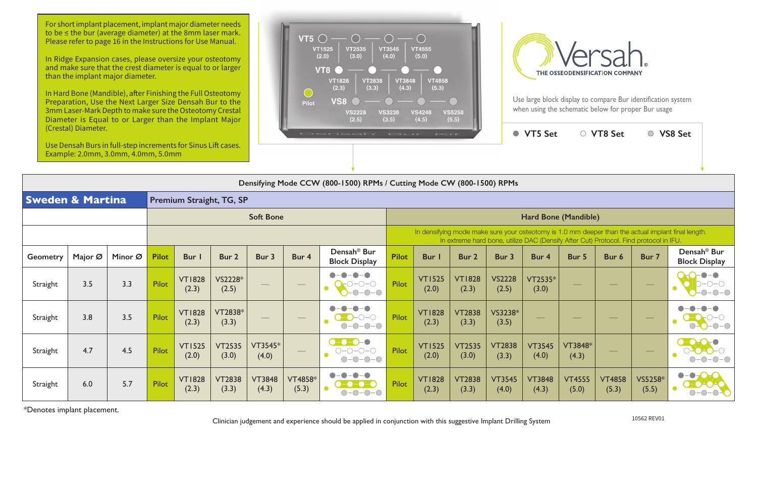In Hard Bone (Mandible), after Finishing the Full Osteotomy Preparation, Use the Next Larger Size Densah Bur to the 3mm Laser-Mark Depth to make sure the Osteotomy Crestal Diameter is Equal to or Larger than the Implant Major

| (Crestal) Diameter.<br>Densah <sup>®</sup> Bur<br>Use Densah Burs in full-step increments for Sinus Lift cases.<br>Example: 2.0mm, 3.0mm, 4.0mm, 5.0mm |         |         |              |                        |                        |                        |                          |                                                                                                                                                                                             |              | $I \leq t$             |                        |                        | ● VT5 Set                |                          | ○ VT8 Set                |                  | ○ VS8 Set                                                                                                                         |  |
|--------------------------------------------------------------------------------------------------------------------------------------------------------|---------|---------|--------------|------------------------|------------------------|------------------------|--------------------------|---------------------------------------------------------------------------------------------------------------------------------------------------------------------------------------------|--------------|------------------------|------------------------|------------------------|--------------------------|--------------------------|--------------------------|------------------|-----------------------------------------------------------------------------------------------------------------------------------|--|
|                                                                                                                                                        |         |         |              |                        |                        |                        |                          | Densifying Mode CCW (800-1500) RPMs / Cutting Mode CW (800-1500) RPMs                                                                                                                       |              |                        |                        |                        |                          |                          |                          |                  |                                                                                                                                   |  |
| <b>Sweden &amp; Martina</b>                                                                                                                            |         |         |              |                        |                        |                        |                          |                                                                                                                                                                                             |              |                        |                        |                        |                          |                          |                          |                  |                                                                                                                                   |  |
| <b>Soft Bone</b>                                                                                                                                       |         |         |              |                        |                        |                        |                          | Hard Bone (Mandible)                                                                                                                                                                        |              |                        |                        |                        |                          |                          |                          |                  |                                                                                                                                   |  |
|                                                                                                                                                        |         |         |              |                        |                        |                        |                          | In densifying mode make sure your osteotomy is 1.0 mm deeper than the actual implant final length.<br>In extreme hard bone, utilize DAC (Densify After Cut) Protocol. Find protocol in IFU. |              |                        |                        |                        |                          |                          |                          |                  |                                                                                                                                   |  |
| <b>Geometry</b>                                                                                                                                        | Major Ø | Minor Ø | <b>Pilot</b> | Bur I                  | Bur 2                  | Bur 3                  | Bur 4                    | Densah <sup>®</sup> Bur<br><b>Block Display</b>                                                                                                                                             | <b>Pilot</b> | Bur                    | Bur 2                  | Bur 3                  | Bur 4                    | Bur 5                    | Bur 6                    | Bur 7            | Densah <sup>®</sup> Bur<br><b>Block Display</b>                                                                                   |  |
| Straight                                                                                                                                               | 3.5     | 3.3     | <b>Pilot</b> | <b>VT1828</b><br>(2.3) | VS2228*<br>(2.5)       |                        |                          | $D$ -O-O<br>$-0-0-0$                                                                                                                                                                        | Pilot        | <b>VT1525</b><br>(2.0) | <b>VT1828</b><br>(2.3) | <b>VS2228</b><br>(2.5) | VT2535*<br>(3.0)         |                          |                          |                  |                                                                                                                                   |  |
| Straight                                                                                                                                               | 3.8     | 3.5     | <b>Pilot</b> | <b>VT1828</b><br>(2.3) | VT2838*<br>(3.3)       |                        | $\overline{\phantom{m}}$ | $\bigcirc$ - $\bigcirc$<br>$O-O-O-O$                                                                                                                                                        | Pilot        | <b>VT1828</b><br>(2.3) | <b>VT2838</b><br>(3.3) | VS3238*<br>(3.5)       | $\overline{\phantom{a}}$ | $\overline{\phantom{a}}$ |                          |                  |                                                                                                                                   |  |
| Straight                                                                                                                                               | 4.7     | 4.5     | <b>Pilot</b> | <b>VT1525</b><br>(2.0) | <b>VT2535</b><br>(3.0) | VT3545*<br>(4.0)       |                          | $\bullet$ -0-0-0<br>$O-O-O-O-O$<br>$O-O-O-O$                                                                                                                                                | Pilot        | <b>VT1525</b><br>(2.0) | <b>VT2535</b><br>(3.0) | <b>VT2838</b><br>(3.3) | <b>VT3545</b><br>(4.0)   | VT3848*<br>(4.3)         | $\overline{\phantom{a}}$ |                  |                                                                                                                                   |  |
| Straight                                                                                                                                               | 6.0     | 5.7     | Pilot        | <b>VT1828</b><br>(2.3) | <b>VT2838</b><br>(3.3) | <b>VT3848</b><br>(4.3) | <b>VT4858*</b><br>(5.3)  |                                                                                                                                                                                             | Pilot        | <b>VT1828</b><br>(2.3) | <b>VT2838</b><br>(3.3) | <b>VT3545</b><br>(4.0) | <b>VT3848</b><br>(4.3)   | <b>VT4555</b><br>(5.0)   | <b>VT4858</b><br>(5.3)   | VS5258*<br>(5.5) | $\bullet$ - $\bullet$ $\bullet$<br>$\left(\begin{array}{c}\bullet & \bullet \\ \bullet & \bullet\end{array}\right)$<br><b>O-O</b> |  |

\*Denotes implant placement.

10562 REV01 Clinician judgement and experience should be applied in conjunction with this suggestive Implant Drilling System

For short implant placement, implant major diameter needs to be ≤ the bur (average diameter) at the 8mm laser mark. Please refer to page 16 in the Instructions for Use Manual.

In Ridge Expansion cases, please oversize your osteotomy and make sure that the crest diameter is equal to or larger than the implant major diameter.





Use large block display to compare Bur identification system when using the schematic below for proper Bur usage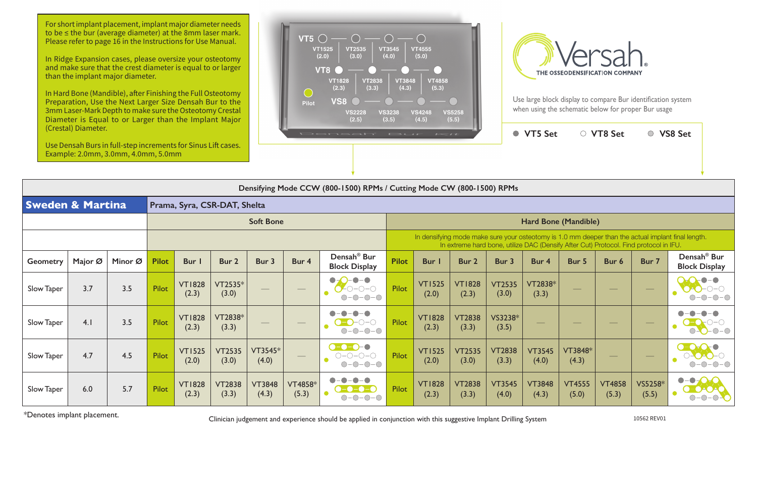Use large block display to compare Bur identification system when using the schematic below for proper Bur usage

| (Crestal) Diameter.<br>Use Densah Burs in full-step increments for Sinus Lift cases.<br>Example: 2.0mm, 3.0mm, 4.0mm, 5.0mm |                                                                       |         |              |                        |                        |                        |                  | Densah' Isur Kit                                                        |                      |                                                                                                                                                                                             |                        |                        | ● VT5 Set              |                                | ○ VT8 Set              |                          | ○ VS8 Set                                             |  |  |
|-----------------------------------------------------------------------------------------------------------------------------|-----------------------------------------------------------------------|---------|--------------|------------------------|------------------------|------------------------|------------------|-------------------------------------------------------------------------|----------------------|---------------------------------------------------------------------------------------------------------------------------------------------------------------------------------------------|------------------------|------------------------|------------------------|--------------------------------|------------------------|--------------------------|-------------------------------------------------------|--|--|
|                                                                                                                             |                                                                       |         |              |                        |                        |                        |                  |                                                                         |                      |                                                                                                                                                                                             |                        |                        |                        |                                |                        |                          |                                                       |  |  |
|                                                                                                                             | Densifying Mode CCW (800-1500) RPMs / Cutting Mode CW (800-1500) RPMs |         |              |                        |                        |                        |                  |                                                                         |                      |                                                                                                                                                                                             |                        |                        |                        |                                |                        |                          |                                                       |  |  |
|                                                                                                                             | <b>Sweden &amp; Martina</b><br>Prama, Syra, CSR-DAT, Shelta           |         |              |                        |                        |                        |                  |                                                                         |                      |                                                                                                                                                                                             |                        |                        |                        |                                |                        |                          |                                                       |  |  |
| <b>Soft Bone</b>                                                                                                            |                                                                       |         |              |                        |                        |                        |                  |                                                                         | Hard Bone (Mandible) |                                                                                                                                                                                             |                        |                        |                        |                                |                        |                          |                                                       |  |  |
|                                                                                                                             |                                                                       |         |              |                        |                        |                        |                  |                                                                         |                      | In densifying mode make sure your osteotomy is 1.0 mm deeper than the actual implant final length.<br>In extreme hard bone, utilize DAC (Densify After Cut) Protocol. Find protocol in IFU. |                        |                        |                        |                                |                        |                          |                                                       |  |  |
| Geometry                                                                                                                    | Major Ø                                                               | Minor Ø | <b>Pilot</b> | <b>Bur</b>             | Bur 2                  | Bur 3                  | Bur 4            | Densah <sup>®</sup> Bur<br><b>Block Display</b>                         | <b>Pilot</b>         | <b>Bur</b>                                                                                                                                                                                  | Bur 2                  | Bur 3                  | Bur 4                  | Bur 5                          | Bur 6                  | Bur 7                    | Densah <sup>®</sup> Bur<br><b>Block Display</b>       |  |  |
| <b>Slow Taper</b>                                                                                                           | 3.7                                                                   | 3.5     | Pilot        | <b>VT1828</b><br>(2.3) | VT2535*<br>(3.0)       | $\hspace{0.05cm}$      |                  | $\bullet - \bullet$<br>$\bullet$<br>$0 - 0 - 0$<br>$O-O-O$              | Pilot                | <b>VT1525</b><br>(2.0)                                                                                                                                                                      | <b>VT1828</b><br>(2.3) | <b>VT2535</b><br>(3.0) | VT2838*<br>(3.3)       | $\overbrace{\hspace{27mm}}^{}$ |                        | $\overline{\phantom{m}}$ | $\bullet$ – $\bullet$<br>$-0-$ C                      |  |  |
| Slow Taper                                                                                                                  | 4.1                                                                   | 3.5     | Pilot        | <b>VT1828</b><br>(2.3) | VT2838*<br>(3.3)       | $\qquad \qquad$        |                  | $\bigcirc$ - $\bigcirc$ - $\bigcirc$<br>$O-O-O-O$                       | Pilot                | <b>VT1828</b><br>(2.3)                                                                                                                                                                      | <b>VT2838</b><br>(3.3) | VS3238*<br>(3.5)       |                        |                                |                        | $\hspace{0.05cm}$        | $O-O-O-C$                                             |  |  |
| Slow Taper                                                                                                                  | 4.7                                                                   | 4.5     | Pilot        | <b>VT1525</b><br>(2.0) | <b>VT2535</b><br>(3.0) | VT3545*<br>(4.0)       |                  | $\bullet$ - $\bullet$ - $\bullet$ - $\bullet$<br>$O-O-O-O$<br>$O-O-O-O$ | Pilot                | <b>VT1525</b><br>(2.0)                                                                                                                                                                      | <b>VT2535</b><br>(3.0) | <b>VT2838</b><br>(3.3) | <b>VT3545</b><br>(4.0) | <b>VT3848*</b><br>(4.3)        | __                     |                          | $\neg - \neg$<br>$\bullet$<br>$ \bigcirc$ $ \bigcirc$ |  |  |
| <b>Slow Taper</b>                                                                                                           | 6.0                                                                   | 5.7     | Pilot        | <b>VT1828</b><br>(2.3) | <b>VT2838</b><br>(3.3) | <b>VT3848</b><br>(4.3) | VT4858*<br>(5.3) | $-\bigcirc$                                                             | <b>Pilot</b>         | <b>VT1828</b><br>(2.3)                                                                                                                                                                      | <b>VT2838</b><br>(3.3) | <b>VT3545</b><br>(4.0) | <b>VT3848</b><br>(4.3) | <b>VT4555</b><br>(5.0)         | <b>VT4858</b><br>(5.3) | VS5258*<br>(5.5)         | $\bullet$<br>$\bullet$<br>-0-0                        |  |  |

\*Denotes implant placement. Clinician judgement and experience should be applied in conjunction with this suggestive Implant Drilling System 10562 REV01

For short implant placement, implant major diameter needs to be ≤ the bur (average diameter) at the 8mm laser mark. Please refer to page 16 in the Instructions for Use Manual.

In Ridge Expansion cases, please oversize your osteotomy and make sure that the crest diameter is equal to or larger than the implant major diameter.

In Hard Bone (Mandible), after Finishing the Full Osteotomy Preparation, Use the Next Larger Size Densah Bur to the 3mm Laser-Mark Depth to make sure the Osteotomy Crestal Diameter is Equal to or Larger than the Implant Major (Crestal) Diameter.